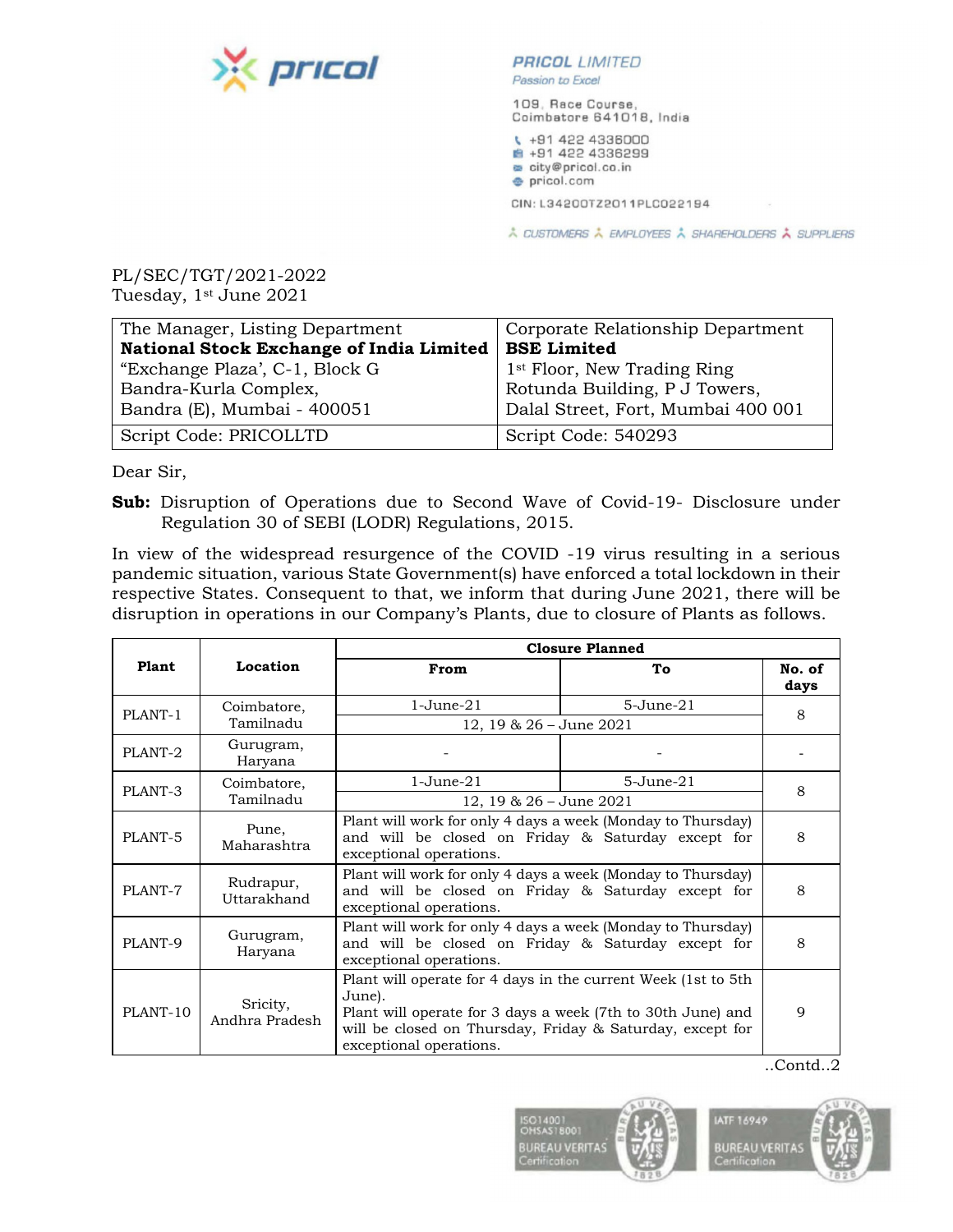

## **Passion to Excel**

109, Race Course, Coimbatore 641018, India

\. +91 422 4336000 +91 422 4336299 • city@pricol.co ,in **e** pricol.com

CIN: L34200TZ2011 PLC022194

,.. CUSTOMERS ,.. EMPLOYEES ,.. SHAREHOLDERS **A** SUPPLIERS

PL/SEC/TGT/2021-2022 Tuesday, 1st June 2021

| The Manager, Listing Department          | Corporate Relationship Department       |
|------------------------------------------|-----------------------------------------|
| National Stock Exchange of India Limited | <b>BSE Limited</b>                      |
| "Exchange Plaza", C-1, Block G           | 1 <sup>st</sup> Floor, New Trading Ring |
| Bandra-Kurla Complex,                    | Rotunda Building, P J Towers,           |
| Bandra (E), Mumbai - 400051              | Dalal Street, Fort, Mumbai 400 001      |
| Script Code: PRICOLLTD                   | Script Code: 540293                     |

Dear Sir,

**Sub:** Disruption of Operations due to Second Wave of Covid-19- Disclosure under Regulation 30 of SEBI (LODR) Regulations, 2015.

In view of the widespread resurgence of the COVID -19 virus resulting in a serious pandemic situation, various State Government(s) have enforced a total lockdown in their respective States. Consequent to that, we inform that during June 2021, there will be disruption in operations in our Company's Plants, due to closure of Plants as follows.

|          |                            | <b>Closure Planned</b>                                                                                                                                                                                                          |                 |                |
|----------|----------------------------|---------------------------------------------------------------------------------------------------------------------------------------------------------------------------------------------------------------------------------|-----------------|----------------|
| Plant    | Location                   | From                                                                                                                                                                                                                            | Тo              | No. of<br>days |
| PLANT-1  | Coimbatore,<br>Tamilnadu   | $1-June-21$                                                                                                                                                                                                                     | $5 - June - 21$ | 8              |
|          |                            | 12, 19 & 26 - June 2021                                                                                                                                                                                                         |                 |                |
| PLANT-2  | Gurugram,<br>Haryana       |                                                                                                                                                                                                                                 |                 |                |
| PLANT-3  | Coimbatore,<br>Tamilnadu   | $1 -$ June $-21$                                                                                                                                                                                                                | $5 - June - 21$ | 8              |
|          |                            | 12, 19 & $26 -$ June $2021$                                                                                                                                                                                                     |                 |                |
| PLANT-5  | Pune,<br>Maharashtra       | Plant will work for only 4 days a week (Monday to Thursday)<br>and will be closed on Friday & Saturday except for<br>exceptional operations.                                                                                    |                 | 8              |
| PLANT-7  | Rudrapur,<br>Uttarakhand   | Plant will work for only 4 days a week (Monday to Thursday)<br>and will be closed on Friday & Saturday except for<br>exceptional operations.                                                                                    |                 | 8              |
| PLANT-9  | Gurugram,<br>Haryana       | Plant will work for only 4 days a week (Monday to Thursday)<br>and will be closed on Friday & Saturday except for<br>exceptional operations.                                                                                    |                 | 8              |
| PLANT-10 | Sricity,<br>Andhra Pradesh | Plant will operate for 4 days in the current Week (1st to 5th)<br>June).<br>Plant will operate for 3 days a week (7th to 30th June) and<br>will be closed on Thursday, Friday & Saturday, except for<br>exceptional operations. |                 | 9              |
|          |                            |                                                                                                                                                                                                                                 |                 | Contd.2        |